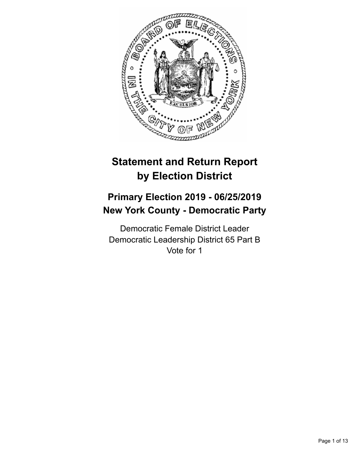

# **Statement and Return Report by Election District**

# **Primary Election 2019 - 06/25/2019 New York County - Democratic Party**

Democratic Female District Leader Democratic Leadership District 65 Part B Vote for 1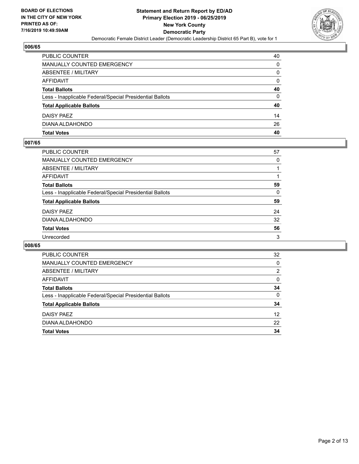

| <b>PUBLIC COUNTER</b>                                    | 40 |
|----------------------------------------------------------|----|
| <b>MANUALLY COUNTED EMERGENCY</b>                        | 0  |
| ABSENTEE / MILITARY                                      | 0  |
| AFFIDAVIT                                                | 0  |
| <b>Total Ballots</b>                                     | 40 |
| Less - Inapplicable Federal/Special Presidential Ballots | 0  |
| <b>Total Applicable Ballots</b>                          | 40 |
| DAISY PAEZ                                               | 14 |
| DIANA ALDAHONDO                                          | 26 |
| <b>Total Votes</b>                                       | 40 |

## **007/65**

| <b>PUBLIC COUNTER</b>                                    | 57       |
|----------------------------------------------------------|----------|
| <b>MANUALLY COUNTED EMERGENCY</b>                        | $\Omega$ |
| <b>ABSENTEE / MILITARY</b>                               |          |
| AFFIDAVIT                                                |          |
| <b>Total Ballots</b>                                     | 59       |
| Less - Inapplicable Federal/Special Presidential Ballots | 0        |
| <b>Total Applicable Ballots</b>                          | 59       |
| DAISY PAEZ                                               | 24       |
| DIANA ALDAHONDO                                          | 32       |
| <b>Total Votes</b>                                       | 56       |
| Unrecorded                                               | 3        |
|                                                          |          |

| <b>PUBLIC COUNTER</b>                                    | 32            |
|----------------------------------------------------------|---------------|
| <b>MANUALLY COUNTED EMERGENCY</b>                        | $\Omega$      |
| ABSENTEE / MILITARY                                      | $\mathcal{P}$ |
| <b>AFFIDAVIT</b>                                         | 0             |
| <b>Total Ballots</b>                                     | 34            |
| Less - Inapplicable Federal/Special Presidential Ballots | 0             |
| <b>Total Applicable Ballots</b>                          | 34            |
| DAISY PAEZ                                               | 12            |
| DIANA ALDAHONDO                                          | 22            |
| <b>Total Votes</b>                                       | 34            |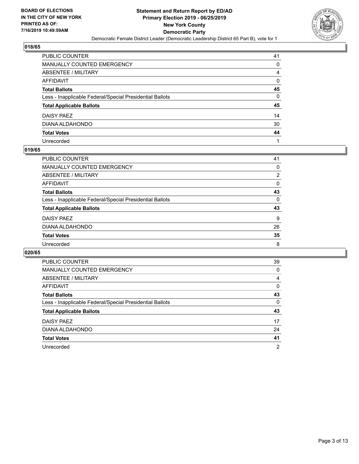

| PUBLIC COUNTER                                           | 41 |
|----------------------------------------------------------|----|
| MANUALLY COUNTED EMERGENCY                               | 0  |
| ABSENTEE / MILITARY                                      | 4  |
| AFFIDAVIT                                                | 0  |
| <b>Total Ballots</b>                                     | 45 |
| Less - Inapplicable Federal/Special Presidential Ballots | 0  |
| <b>Total Applicable Ballots</b>                          | 45 |
| DAISY PAEZ                                               | 14 |
| DIANA ALDAHONDO                                          | 30 |
| <b>Total Votes</b>                                       | 44 |
| Unrecorded                                               |    |

## **019/65**

| <b>PUBLIC COUNTER</b>                                    | 41             |
|----------------------------------------------------------|----------------|
| <b>MANUALLY COUNTED EMERGENCY</b>                        | 0              |
| <b>ABSENTEE / MILITARY</b>                               | $\overline{2}$ |
| AFFIDAVIT                                                | 0              |
| <b>Total Ballots</b>                                     | 43             |
| Less - Inapplicable Federal/Special Presidential Ballots | 0              |
| <b>Total Applicable Ballots</b>                          | 43             |
| DAISY PAEZ                                               | 9              |
| DIANA ALDAHONDO                                          | 26             |
| <b>Total Votes</b>                                       | 35             |
| Unrecorded                                               | 8              |

| PUBLIC COUNTER                                           | 39             |
|----------------------------------------------------------|----------------|
| <b>MANUALLY COUNTED EMERGENCY</b>                        | 0              |
| ABSENTEE / MILITARY                                      | 4              |
| <b>AFFIDAVIT</b>                                         | 0              |
| <b>Total Ballots</b>                                     | 43             |
| Less - Inapplicable Federal/Special Presidential Ballots | 0              |
| <b>Total Applicable Ballots</b>                          | 43             |
| DAISY PAEZ                                               | 17             |
| DIANA ALDAHONDO                                          | 24             |
| <b>Total Votes</b>                                       | 41             |
| Unrecorded                                               | $\overline{2}$ |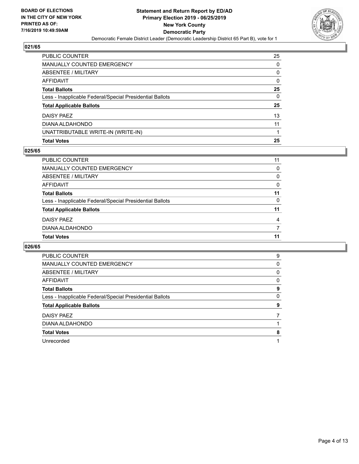

| <b>Total Votes</b>                                       | 25       |
|----------------------------------------------------------|----------|
| UNATTRIBUTABLE WRITE-IN (WRITE-IN)                       |          |
| DIANA ALDAHONDO                                          | 11       |
| DAISY PAEZ                                               | 13       |
| <b>Total Applicable Ballots</b>                          | 25       |
| Less - Inapplicable Federal/Special Presidential Ballots | $\Omega$ |
| <b>Total Ballots</b>                                     | 25       |
| <b>AFFIDAVIT</b>                                         | 0        |
| <b>ABSENTEE / MILITARY</b>                               | 0        |
| MANUALLY COUNTED EMERGENCY                               | $\Omega$ |
| PUBLIC COUNTER                                           | 25       |

### **025/65**

| PUBLIC COUNTER                                           | 11 |
|----------------------------------------------------------|----|
| <b>MANUALLY COUNTED EMERGENCY</b>                        | 0  |
| ABSENTEE / MILITARY                                      | 0  |
| AFFIDAVIT                                                | 0  |
| <b>Total Ballots</b>                                     | 11 |
| Less - Inapplicable Federal/Special Presidential Ballots | 0  |
| <b>Total Applicable Ballots</b>                          | 11 |
| DAISY PAEZ                                               | 4  |
| DIANA ALDAHONDO                                          |    |
| <b>Total Votes</b>                                       | 11 |

| <b>PUBLIC COUNTER</b>                                    | 9 |
|----------------------------------------------------------|---|
| <b>MANUALLY COUNTED EMERGENCY</b>                        | 0 |
| ABSENTEE / MILITARY                                      | 0 |
| AFFIDAVIT                                                | 0 |
| <b>Total Ballots</b>                                     | 9 |
| Less - Inapplicable Federal/Special Presidential Ballots | 0 |
| <b>Total Applicable Ballots</b>                          | 9 |
| DAISY PAEZ                                               |   |
| DIANA ALDAHONDO                                          |   |
| <b>Total Votes</b>                                       | 8 |
| Unrecorded                                               |   |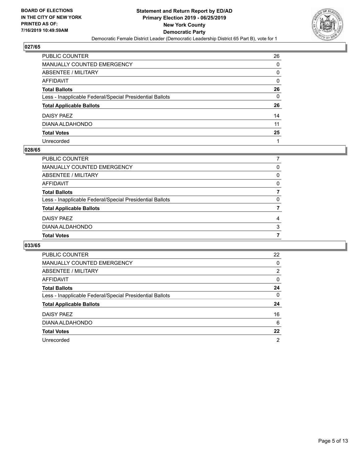

| PUBLIC COUNTER                                           | 26 |
|----------------------------------------------------------|----|
| <b>MANUALLY COUNTED EMERGENCY</b>                        | 0  |
| ABSENTEE / MILITARY                                      | 0  |
| AFFIDAVIT                                                | 0  |
| <b>Total Ballots</b>                                     | 26 |
| Less - Inapplicable Federal/Special Presidential Ballots | 0  |
| <b>Total Applicable Ballots</b>                          | 26 |
| DAISY PAEZ                                               | 14 |
| DIANA ALDAHONDO                                          | 11 |
| <b>Total Votes</b>                                       | 25 |
| Unrecorded                                               |    |

### **028/65**

| <b>PUBLIC COUNTER</b>                                    |   |
|----------------------------------------------------------|---|
| <b>MANUALLY COUNTED EMERGENCY</b>                        | 0 |
| ABSENTEE / MILITARY                                      | 0 |
| AFFIDAVIT                                                | 0 |
| <b>Total Ballots</b>                                     |   |
| Less - Inapplicable Federal/Special Presidential Ballots | 0 |
| <b>Total Applicable Ballots</b>                          |   |
| DAISY PAEZ                                               | 4 |
| DIANA ALDAHONDO                                          | 3 |
| <b>Total Votes</b>                                       |   |
|                                                          |   |

| PUBLIC COUNTER                                           | 22       |
|----------------------------------------------------------|----------|
| <b>MANUALLY COUNTED EMERGENCY</b>                        | 0        |
| <b>ABSENTEE / MILITARY</b>                               | 2        |
| AFFIDAVIT                                                | $\Omega$ |
| <b>Total Ballots</b>                                     | 24       |
| Less - Inapplicable Federal/Special Presidential Ballots | $\Omega$ |
| <b>Total Applicable Ballots</b>                          | 24       |
| DAISY PAEZ                                               | 16       |
| DIANA ALDAHONDO                                          | 6        |
| <b>Total Votes</b>                                       | 22       |
| Unrecorded                                               | 2        |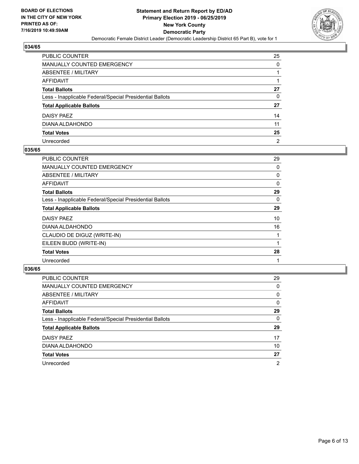

| PUBLIC COUNTER                                           | 25             |
|----------------------------------------------------------|----------------|
| MANUALLY COUNTED EMERGENCY                               | 0              |
| ABSENTEE / MILITARY                                      | 1              |
| AFFIDAVIT                                                |                |
| Total Ballots                                            | 27             |
| Less - Inapplicable Federal/Special Presidential Ballots | 0              |
| <b>Total Applicable Ballots</b>                          | 27             |
| DAISY PAEZ                                               | 14             |
| DIANA ALDAHONDO                                          | 11             |
| <b>Total Votes</b>                                       | 25             |
| Unrecorded                                               | $\overline{2}$ |

## **035/65**

| <b>PUBLIC COUNTER</b>                                    | 29       |
|----------------------------------------------------------|----------|
| <b>MANUALLY COUNTED EMERGENCY</b>                        | 0        |
| ABSENTEE / MILITARY                                      | 0        |
| <b>AFFIDAVIT</b>                                         | $\Omega$ |
| <b>Total Ballots</b>                                     | 29       |
| Less - Inapplicable Federal/Special Presidential Ballots | 0        |
| <b>Total Applicable Ballots</b>                          | 29       |
| <b>DAISY PAEZ</b>                                        | 10       |
| DIANA ALDAHONDO                                          | 16       |
| CLAUDIO DE DIGUZ (WRITE-IN)                              |          |
| EILEEN BUDD (WRITE-IN)                                   |          |
| <b>Total Votes</b>                                       | 28       |
| Unrecorded                                               |          |

| PUBLIC COUNTER                                           | 29       |
|----------------------------------------------------------|----------|
| <b>MANUALLY COUNTED EMERGENCY</b>                        | $\Omega$ |
| ABSENTEE / MILITARY                                      | $\Omega$ |
| AFFIDAVIT                                                | $\Omega$ |
| <b>Total Ballots</b>                                     | 29       |
| Less - Inapplicable Federal/Special Presidential Ballots | 0        |
| <b>Total Applicable Ballots</b>                          | 29       |
| DAISY PAEZ                                               | 17       |
| DIANA ALDAHONDO                                          | 10       |
| <b>Total Votes</b>                                       | 27       |
| Unrecorded                                               | 2        |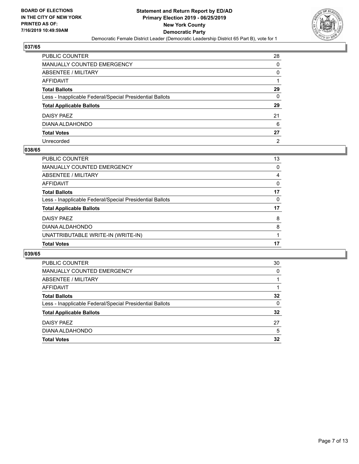

| PUBLIC COUNTER                                           | 28             |
|----------------------------------------------------------|----------------|
| MANUALLY COUNTED EMERGENCY                               | 0              |
| ABSENTEE / MILITARY                                      | 0              |
| AFFIDAVIT                                                |                |
| <b>Total Ballots</b>                                     | 29             |
| Less - Inapplicable Federal/Special Presidential Ballots | $\Omega$       |
| <b>Total Applicable Ballots</b>                          | 29             |
| DAISY PAEZ                                               | 21             |
| DIANA ALDAHONDO                                          | 6              |
| <b>Total Votes</b>                                       | 27             |
| Unrecorded                                               | $\overline{2}$ |

## **038/65**

| <b>PUBLIC COUNTER</b>                                    | 13 |
|----------------------------------------------------------|----|
| <b>MANUALLY COUNTED EMERGENCY</b>                        | 0  |
| ABSENTEE / MILITARY                                      | 4  |
| AFFIDAVIT                                                | 0  |
| <b>Total Ballots</b>                                     | 17 |
| Less - Inapplicable Federal/Special Presidential Ballots | 0  |
| <b>Total Applicable Ballots</b>                          | 17 |
| DAISY PAEZ                                               | 8  |
| DIANA ALDAHONDO                                          | 8  |
| UNATTRIBUTABLE WRITE-IN (WRITE-IN)                       |    |
| <b>Total Votes</b>                                       | 17 |

| <b>PUBLIC COUNTER</b>                                    | 30       |
|----------------------------------------------------------|----------|
| MANUALLY COUNTED EMERGENCY                               | 0        |
| ABSENTEE / MILITARY                                      |          |
| AFFIDAVIT                                                |          |
| <b>Total Ballots</b>                                     | 32       |
| Less - Inapplicable Federal/Special Presidential Ballots | $\Omega$ |
| <b>Total Applicable Ballots</b>                          | 32       |
| DAISY PAEZ                                               | 27       |
| DIANA ALDAHONDO                                          | 5        |
| <b>Total Votes</b>                                       | 32       |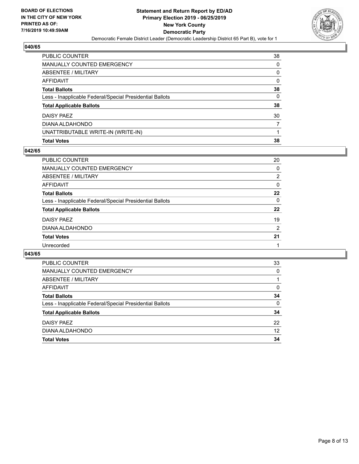

| <b>Total Votes</b>                                       | 38       |
|----------------------------------------------------------|----------|
| UNATTRIBUTABLE WRITE-IN (WRITE-IN)                       |          |
| DIANA ALDAHONDO                                          | 7        |
| DAISY PAEZ                                               | 30       |
| <b>Total Applicable Ballots</b>                          | 38       |
| Less - Inapplicable Federal/Special Presidential Ballots | $\Omega$ |
| <b>Total Ballots</b>                                     | 38       |
| <b>AFFIDAVIT</b>                                         | 0        |
| <b>ABSENTEE / MILITARY</b>                               | 0        |
| <b>MANUALLY COUNTED EMERGENCY</b>                        | $\Omega$ |
| PUBLIC COUNTER                                           | 38       |

## **042/65**

| <b>PUBLIC COUNTER</b>                                    | 20            |
|----------------------------------------------------------|---------------|
| <b>MANUALLY COUNTED EMERGENCY</b>                        | 0             |
| ABSENTEE / MILITARY                                      | $\mathcal{P}$ |
| AFFIDAVIT                                                | 0             |
| <b>Total Ballots</b>                                     | 22            |
| Less - Inapplicable Federal/Special Presidential Ballots | 0             |
| <b>Total Applicable Ballots</b>                          | 22            |
| DAISY PAEZ                                               | 19            |
| DIANA ALDAHONDO                                          | 2             |
| <b>Total Votes</b>                                       | 21            |
| Unrecorded                                               |               |

| <b>PUBLIC COUNTER</b>                                    | 33       |
|----------------------------------------------------------|----------|
| MANUALLY COUNTED EMERGENCY                               | 0        |
| ABSENTEE / MILITARY                                      |          |
| AFFIDAVIT                                                | 0        |
| <b>Total Ballots</b>                                     | 34       |
| Less - Inapplicable Federal/Special Presidential Ballots | $\Omega$ |
| <b>Total Applicable Ballots</b>                          | 34       |
| DAISY PAEZ                                               | 22       |
| DIANA ALDAHONDO                                          | 12       |
| <b>Total Votes</b>                                       | 34       |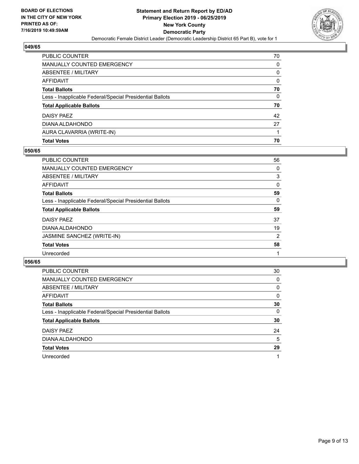

| <b>PUBLIC COUNTER</b>                                    | 70       |
|----------------------------------------------------------|----------|
| <b>MANUALLY COUNTED EMERGENCY</b>                        | 0        |
| ABSENTEE / MILITARY                                      | 0        |
| AFFIDAVIT                                                | 0        |
| <b>Total Ballots</b>                                     | 70       |
| Less - Inapplicable Federal/Special Presidential Ballots | $\Omega$ |
| <b>Total Applicable Ballots</b>                          | 70       |
| DAISY PAEZ                                               | 42       |
| DIANA ALDAHONDO                                          | 27       |
| AURA CLAVARRIA (WRITE-IN)                                |          |
| <b>Total Votes</b>                                       | 70       |

## **050/65**

| PUBLIC COUNTER                                           | 56             |
|----------------------------------------------------------|----------------|
| <b>MANUALLY COUNTED EMERGENCY</b>                        | 0              |
| <b>ABSENTEE / MILITARY</b>                               | 3              |
| <b>AFFIDAVIT</b>                                         | 0              |
| <b>Total Ballots</b>                                     | 59             |
| Less - Inapplicable Federal/Special Presidential Ballots | $\Omega$       |
| <b>Total Applicable Ballots</b>                          | 59             |
| DAISY PAEZ                                               | 37             |
| DIANA ALDAHONDO                                          | 19             |
| JASMINE SANCHEZ (WRITE-IN)                               | $\overline{2}$ |
| <b>Total Votes</b>                                       | 58             |
| Unrecorded                                               |                |
|                                                          |                |

| <b>PUBLIC COUNTER</b>                                    | 30       |
|----------------------------------------------------------|----------|
| MANUALLY COUNTED EMERGENCY                               | 0        |
| ABSENTEE / MILITARY                                      | $\Omega$ |
| AFFIDAVIT                                                | $\Omega$ |
| <b>Total Ballots</b>                                     | 30       |
| Less - Inapplicable Federal/Special Presidential Ballots | $\Omega$ |
| <b>Total Applicable Ballots</b>                          | 30       |
| DAISY PAEZ                                               | 24       |
| DIANA ALDAHONDO                                          | 5        |
| <b>Total Votes</b>                                       | 29       |
| Unrecorded                                               |          |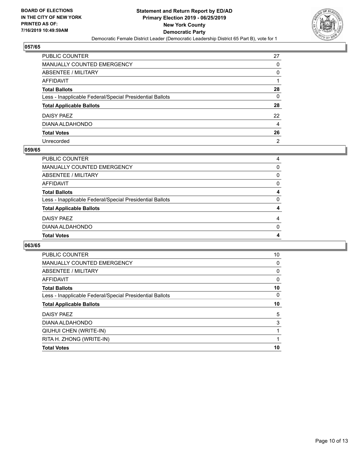

| PUBLIC COUNTER                                           | 27             |
|----------------------------------------------------------|----------------|
| <b>MANUALLY COUNTED EMERGENCY</b>                        | 0              |
| ABSENTEE / MILITARY                                      | 0              |
| AFFIDAVIT                                                |                |
| <b>Total Ballots</b>                                     | 28             |
| Less - Inapplicable Federal/Special Presidential Ballots | 0              |
| <b>Total Applicable Ballots</b>                          | 28             |
| DAISY PAEZ                                               | 22             |
| DIANA ALDAHONDO                                          | 4              |
| <b>Total Votes</b>                                       | 26             |
| Unrecorded                                               | $\overline{2}$ |

### **059/65**

| 4        |
|----------|
| $\Omega$ |
| 4        |
| 4        |
| 0        |
| 4        |
| 0        |
| 0        |
| 0        |
| 4        |
|          |

| PUBLIC COUNTER                                           | 10       |
|----------------------------------------------------------|----------|
| <b>MANUALLY COUNTED EMERGENCY</b>                        | 0        |
| <b>ABSENTEE / MILITARY</b>                               | 0        |
| <b>AFFIDAVIT</b>                                         | 0        |
| <b>Total Ballots</b>                                     | 10       |
| Less - Inapplicable Federal/Special Presidential Ballots | $\Omega$ |
| <b>Total Applicable Ballots</b>                          | 10       |
| DAISY PAEZ                                               | 5        |
| DIANA ALDAHONDO                                          | 3        |
| QIUHUI CHEN (WRITE-IN)                                   | 1        |
| RITA H. ZHONG (WRITE-IN)                                 | 1        |
| <b>Total Votes</b>                                       | 10       |
|                                                          |          |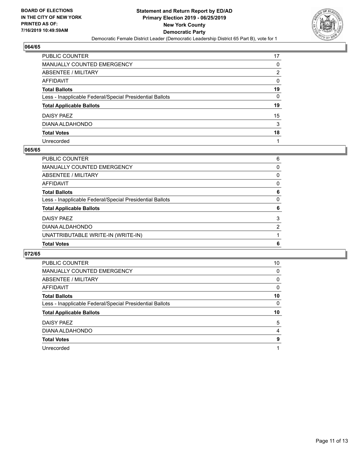

| PUBLIC COUNTER                                           | 17       |
|----------------------------------------------------------|----------|
| MANUALLY COUNTED EMERGENCY                               | 0        |
| ABSENTEE / MILITARY                                      | 2        |
| AFFIDAVIT                                                | 0        |
| Total Ballots                                            | 19       |
| Less - Inapplicable Federal/Special Presidential Ballots | $\Omega$ |
| <b>Total Applicable Ballots</b>                          | 19       |
| DAISY PAEZ                                               | 15       |
| DIANA ALDAHONDO                                          | 3        |
| <b>Total Votes</b>                                       | 18       |
| Unrecorded                                               |          |

### **065/65**

| PUBLIC COUNTER                                           | 6              |
|----------------------------------------------------------|----------------|
| <b>MANUALLY COUNTED EMERGENCY</b>                        | 0              |
| ABSENTEE / MILITARY                                      | 0              |
| AFFIDAVIT                                                | 0              |
| <b>Total Ballots</b>                                     | 6              |
| Less - Inapplicable Federal/Special Presidential Ballots | 0              |
| <b>Total Applicable Ballots</b>                          | 6              |
| DAISY PAEZ                                               | 3              |
| DIANA ALDAHONDO                                          | $\overline{2}$ |
| UNATTRIBUTABLE WRITE-IN (WRITE-IN)                       |                |
| <b>Total Votes</b>                                       | 6              |

| PUBLIC COUNTER                                           | 10 |
|----------------------------------------------------------|----|
| <b>MANUALLY COUNTED EMERGENCY</b>                        | 0  |
| <b>ABSENTEE / MILITARY</b>                               | 0  |
| <b>AFFIDAVIT</b>                                         | 0  |
| <b>Total Ballots</b>                                     | 10 |
| Less - Inapplicable Federal/Special Presidential Ballots | 0  |
| <b>Total Applicable Ballots</b>                          | 10 |
|                                                          |    |
| DAISY PAEZ                                               | 5  |
| DIANA ALDAHONDO                                          | 4  |
| <b>Total Votes</b>                                       | 9  |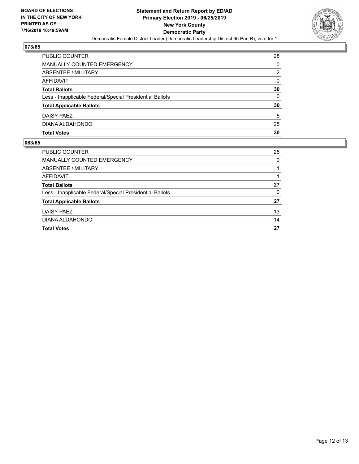

| PUBLIC COUNTER                                           | 28 |
|----------------------------------------------------------|----|
| MANUALLY COUNTED EMERGENCY                               | 0  |
| ABSENTEE / MILITARY                                      | 2  |
| AFFIDAVIT                                                | 0  |
| <b>Total Ballots</b>                                     | 30 |
| Less - Inapplicable Federal/Special Presidential Ballots | 0  |
| <b>Total Applicable Ballots</b>                          | 30 |
| DAISY PAEZ                                               | 5  |
| DIANA ALDAHONDO                                          | 25 |
| <b>Total Votes</b>                                       | 30 |

| PUBLIC COUNTER                                           | 25 |
|----------------------------------------------------------|----|
| MANUALLY COUNTED EMERGENCY                               | 0  |
| ABSENTEE / MILITARY                                      |    |
| AFFIDAVIT                                                |    |
| <b>Total Ballots</b>                                     | 27 |
| Less - Inapplicable Federal/Special Presidential Ballots | 0  |
| <b>Total Applicable Ballots</b>                          | 27 |
| DAISY PAEZ                                               | 13 |
| DIANA ALDAHONDO                                          | 14 |
| <b>Total Votes</b>                                       | 27 |
|                                                          |    |